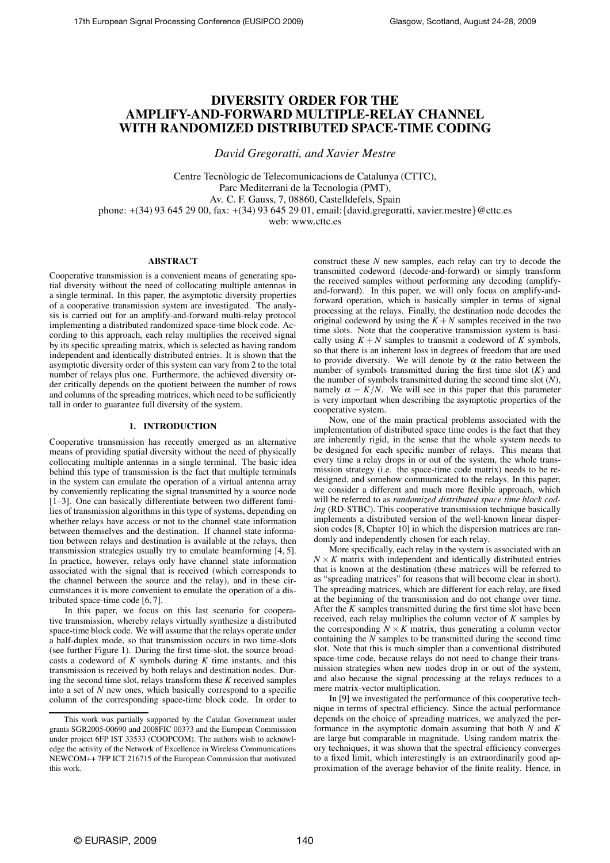# **DIVERSITY ORDER FOR THE AMPLIFY-AND-FORWARD MULTIPLE-RELAY CHANNEL WITH RANDOMIZED DISTRIBUTED SPACE-TIME CODING**

*David Gregoratti, and Xavier Mestre*

Centre Tecnòlogic de Telecomunicacions de Catalunya (CTTC), Parc Mediterrani de la Tecnologia (PMT), Av. C. F. Gauss, 7, 08860, Castelldefels, Spain phone: +(34) 93 645 29 00, fax: +(34) 93 645 29 01, email:{david.gregoratti, xavier.mestre}@cttc.es web: www.cttc.es

#### **ABSTRACT**

Cooperative transmission is a convenient means of generating spatial diversity without the need of collocating multiple antennas in a single terminal. In this paper, the asymptotic diversity properties of a cooperative transmission system are investigated. The analysis is carried out for an amplify-and-forward multi-relay protocol implementing a distributed randomized space-time block code. According to this approach, each relay multiplies the received signal by its specific spreading matrix, which is selected as having random independent and identically distributed entries. It is shown that the asymptotic diversity order of this system can vary from 2 to the total number of relays plus one. Furthermore, the achieved diversity order critically depends on the quotient between the number of rows and columns of the spreading matrices, which need to be sufficiently tall in order to guarantee full diversity of the system.

## **1. INTRODUCTION**

Cooperative transmission has recently emerged as an alternative means of providing spatial diversity without the need of physically collocating multiple antennas in a single terminal. The basic idea behind this type of transmission is the fact that multiple terminals in the system can emulate the operation of a virtual antenna array by conveniently replicating the signal transmitted by a source node [1–3]. One can basically differentiate between two different families of transmission algorithms in this type of systems, depending on whether relays have access or not to the channel state information between themselves and the destination. If channel state information between relays and destination is available at the relays, then transmission strategies usually try to emulate beamforming [4, 5]. In practice, however, relays only have channel state information associated with the signal that is received (which corresponds to the channel between the source and the relay), and in these circumstances it is more convenient to emulate the operation of a distributed space-time code [6, 7].

In this paper, we focus on this last scenario for cooperative transmission, whereby relays virtually synthesize a distributed space-time block code. We will assume that the relays operate under a half-duplex mode, so that transmission occurs in two time-slots (see further Figure 1). During the first time-slot, the source broadcasts a codeword of *K* symbols during *K* time instants, and this transmission is received by both relays and destination nodes. During the second time slot, relays transform these *K* received samples into a set of *N* new ones, which basically correspond to a specific column of the corresponding space-time block code. In order to construct these *N* new samples, each relay can try to decode the transmitted codeword (decode-and-forward) or simply transform the received samples without performing any decoding (amplifyand-forward). In this paper, we will only focus on amplify-andforward operation, which is basically simpler in terms of signal processing at the relays. Finally, the destination node decodes the original codeword by using the  $K + N$  samples received in the two time slots. Note that the cooperative transmission system is basically using  $K + N$  samples to transmit a codeword of *K* symbols, so that there is an inherent loss in degrees of freedom that are used to provide diversity. We will denote by  $\alpha$  the ratio between the number of symbols transmitted during the first time slot (*K*) and the number of symbols transmitted during the second time slot (*N*), namely  $\alpha = K/N$ . We will see in this paper that this parameter is very important when describing the asymptotic properties of the cooperative system.

Now, one of the main practical problems associated with the implementation of distributed space time codes is the fact that they are inherently rigid, in the sense that the whole system needs to be designed for each specific number of relays. This means that every time a relay drops in or out of the system, the whole transmission strategy (i.e. the space-time code matrix) needs to be redesigned, and somehow communicated to the relays. In this paper, we consider a different and much more flexible approach, which will be referred to as *randomized distributed space time block coding* (RD-STBC). This cooperative transmission technique basically implements a distributed version of the well-known linear dispersion codes [8, Chapter 10] in which the dispersion matrices are randomly and independently chosen for each relay.

More specifically, each relay in the system is associated with an  $N \times K$  matrix with independent and identically distributed entries that is known at the destination (these matrices will be referred to as "spreading matrices" for reasons that will become clear in short). The spreading matrices, which are different for each relay, are fixed at the beginning of the transmission and do not change over time. After the *K* samples transmitted during the first time slot have been received, each relay multiplies the column vector of *K* samples by the corresponding  $N \times K$  matrix, thus generating a column vector containing the *N* samples to be transmitted during the second time slot. Note that this is much simpler than a conventional distributed space-time code, because relays do not need to change their transmission strategies when new nodes drop in or out of the system, and also because the signal processing at the relays reduces to a mere matrix-vector multiplication.

In [9] we investigated the performance of this cooperative technique in terms of spectral efficiency. Since the actual performance depends on the choice of spreading matrices, we analyzed the performance in the asymptotic domain assuming that both *N* and *K* are large but comparable in magnitude. Using random matrix theory techniques, it was shown that the spectral efficiency converges to a fixed limit, which interestingly is an extraordinarily good approximation of the average behavior of the finite reality. Hence, in

This work was partially supported by the Catalan Government under grants SGR2005-00690 and 2008FIC 00373 and the European Commission under project 6FP IST 33533 (COOPCOM). The authors wish to acknowledge the activity of the Network of Excellence in Wireless Communications NEWCOM++ 7FP ICT 216715 of the European Commission that motivated this work.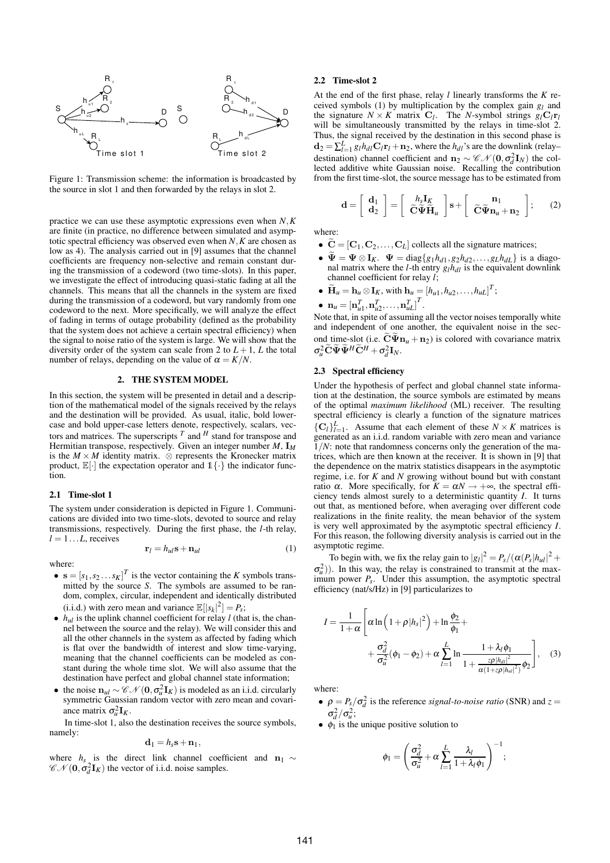

Figure 1: Transmission scheme: the information is broadcasted by the source in slot 1 and then forwarded by the relays in slot 2.

practice we can use these asymptotic expressions even when *N*,*K* are finite (in practice, no difference between simulated and asymptotic spectral efficiency was observed even when *N*,*K* are chosen as low as 4). The analysis carried out in [9] assumes that the channel coefficients are frequency non-selective and remain constant during the transmission of a codeword (two time-slots). In this paper, we investigate the effect of introducing quasi-static fading at all the channels. This means that all the channels in the system are fixed during the transmission of a codeword, but vary randomly from one codeword to the next. More specifically, we will analyze the effect of fading in terms of outage probability (defined as the probability that the system does not achieve a certain spectral efficiency) when the signal to noise ratio of the system is large. We will show that the diversity order of the system can scale from 2 to  $L + 1$ ,  $L$  the total number of relays, depending on the value of  $\alpha = K/N$ .

# **2. THE SYSTEM MODEL**

In this section, the system will be presented in detail and a description of the mathematical model of the signals received by the relays and the destination will be provided. As usual, italic, bold lowercase and bold upper-case letters denote, respectively, scalars, vectors and matrices. The superscripts  $^T$  and  $^H$  stand for transpose and Hermitian transpose, respectively. Given an integer number *M*, I*<sup>M</sup>* is the  $M \times M$  identity matrix.  $\otimes$  represents the Kronecker matrix product,  $\mathbb{E}[\cdot]$  the expectation operator and  $\mathbb{1}\{\cdot\}$  the indicator function.

#### **2.1 Time-slot 1**

The system under consideration is depicted in Figure 1. Communications are divided into two time-slots, devoted to source and relay transmissions, respectively. During the first phase, the *l*-th relay,  $l = 1...L$ , receives

$$
\mathbf{r}_l = h_{ul}\mathbf{s} + \mathbf{n}_{ul} \tag{1}
$$

where:

- $\mathbf{s} = [s_1, s_2 \dots s_K]^T$  is the vector containing the *K* symbols transmitted by the source *S*. The symbols are assumed to be random, complex, circular, independent and identically distributed (i.i.d.) with zero mean and variance  $\mathbb{E}[|s_k|^2] = P_s$ ;
- $h_{ul}$  is the uplink channel coefficient for relay *l* (that is, the channel between the source and the relay). We will consider this and all the other channels in the system as affected by fading which is flat over the bandwidth of interest and slow time-varying, meaning that the channel coefficients can be modeled as constant during the whole time slot. We will also assume that the destination have perfect and global channel state information;
- the noise  $n_{ul} \sim \mathcal{CN}(\mathbf{0}, \sigma_u^2 \mathbf{I}_K)$  is modeled as an i.i.d. circularly symmetric Gaussian random vector with zero mean and covariance matrix  $\sigma_u^2 \mathbf{I}_K$ .

In time-slot 1, also the destination receives the source symbols, namely:

$$
\mathbf{d}_1 = h_s \mathbf{s} + \mathbf{n}_1,
$$

where  $h_s$  is the direct link channel coefficient and  $n_1 \sim$  $\mathscr{CN}(\mathbf{0}, \sigma_d^2 \mathbf{I}_K)$  the vector of i.i.d. noise samples.

#### **2.2 Time-slot 2**

At the end of the first phase, relay *l* linearly transforms the *K* received symbols (1) by multiplication by the complex gain *g<sup>l</sup>* and the signature  $N \times K$  matrix  $C_l$ . The *N*-symbol strings  $g_l C_l r_l$ will be simultaneously transmitted by the relays in time-slot 2. Thus, the signal received by the destination in this second phase is  $\mathbf{d}_2 = \sum_{l=1}^L g_l h_{dl} \mathbf{C}_l \mathbf{r}_l + \mathbf{n}_2$ , where the *h<sub>dl</sub>*'s are the downlink (relay– destination) channel coefficient and  $\mathbf{n}_2 \sim \mathscr{CN}(\mathbf{0}, \sigma_d^2 \mathbf{I}_N)$  the collected additive white Gaussian noise. Recalling the contribution from the first time-slot, the source message has to be estimated from

$$
\mathbf{d} = \left[ \begin{array}{c} \mathbf{d}_1 \\ \mathbf{d}_2 \end{array} \right] = \left[ \begin{array}{c} h_s \mathbf{I}_K \\ \widetilde{\mathbf{C}} \widetilde{\mathbf{\Psi}} \widetilde{\mathbf{H}}_u \end{array} \right] \mathbf{s} + \left[ \begin{array}{c} \mathbf{n}_1 \\ \widetilde{\mathbf{C}} \widetilde{\mathbf{\Psi}} \mathbf{n}_u + \mathbf{n}_2 \end{array} \right];
$$
 (2)

where:

- $\tilde{\mathbf{C}} = [\mathbf{C}_1, \mathbf{C}_2, \dots, \mathbf{C}_L]$  collects all the signature matrices;
- $\widetilde{\Psi} = \Psi \otimes I_K$ .  $\Psi = \text{diag}\{g_1h_{d1}, g_2h_{d2}, \dots, g_Lh_{dL}\}\$ is a diagonal matrix where the *l*-th entry  $g_l h_{dl}$  is the equivalent downlink channel coefficient for relay *l*;
- $\widetilde{\mathbf{H}}_u = \mathbf{h}_u \otimes \mathbf{I}_K$ , with  $\mathbf{h}_u = [h_{u1}, h_{u2}, \dots, h_{uL}]^T$ ;

$$
\bullet \ \mathbf{n}_{u} = [\mathbf{n}_{u1}^T, \mathbf{n}_{u2}^T, \dots, \mathbf{n}_{uL}^T]^T.
$$

Note that, in spite of assuming all the vector noises temporally white and independent of one another, the equivalent noise in the second time-slot (i.e.  $\tilde{C}\Psi n_{\mu} + n_{2}$ ) is colored with covariance matrix  $\sigma^2_u \widetilde{\mathbf{C}} \widetilde{\mathbf{\Psi}} \widetilde{\mathbf{\Psi}}^H \widetilde{\mathbf{C}}^H + \sigma^2_d \mathbf{I}_N.$ 

#### **2.3 Spectral efficiency**

Under the hypothesis of perfect and global channel state information at the destination, the source symbols are estimated by means of the optimal *maximum likelihood* (ML) receiver. The resulting spectral efficiency is clearly a function of the signature matrices  ${C_l}_{l=1}^L$ . Assume that each element of these  $N \times K$  matrices is generated as an i.i.d. random variable with zero mean and variance 1/*N*: note that randomness concerns only the generation of the matrices, which are then known at the receiver. It is shown in [9] that the dependence on the matrix statistics disappears in the asymptotic regime, i.e. for *K* and *N* growing without bound but with constant ratio  $\alpha$ . More specifically, for  $K = \alpha N \rightarrow +\infty$ , the spectral efficiency tends almost surely to a deterministic quantity *I*. It turns out that, as mentioned before, when averaging over different code realizations in the finite reality, the mean behavior of the system is very well approximated by the asymptotic spectral efficiency *I*. For this reason, the following diversity analysis is carried out in the asymptotic regime.

To begin with, we fix the relay gain to  $|g_l|^2 = P_s/(\alpha (P_s | h_{ul}|^2 +$  $\sigma_u^2$ )). In this way, the relay is constrained to transmit at the maximum power *Ps*. Under this assumption, the asymptotic spectral efficiency (nat/s/Hz) in [9] particularizes to

$$
I = \frac{1}{1+\alpha} \left[ \alpha \ln \left( 1 + \rho |h_s|^2 \right) + \ln \frac{\phi_2}{\phi_1} + \right.
$$
  
+ 
$$
\frac{\sigma_d^2}{\sigma_u^2} (\phi_1 - \phi_2) + \alpha \sum_{l=1}^L \ln \frac{1 + \lambda_l \phi_1}{1 + \frac{z \rho |h_{dl}|^2}{\alpha (1 + z \rho |h_{dl}|^2)} \phi_2} \right], \quad (3)
$$

where:

- $\rho = P_s / \sigma_d^2$  is the reference *signal-to-noise ratio* (SNR) and  $z =$  $\sigma_d^2/\sigma_u^2$ ;
- $\phi_1$  is the unique positive solution to

$$
\phi_1 = \left(\frac{\sigma_d^2}{\sigma_u^2} + \alpha \sum_{l=1}^L \frac{\lambda_l}{1 + \lambda_l \phi_1}\right)^{-1};
$$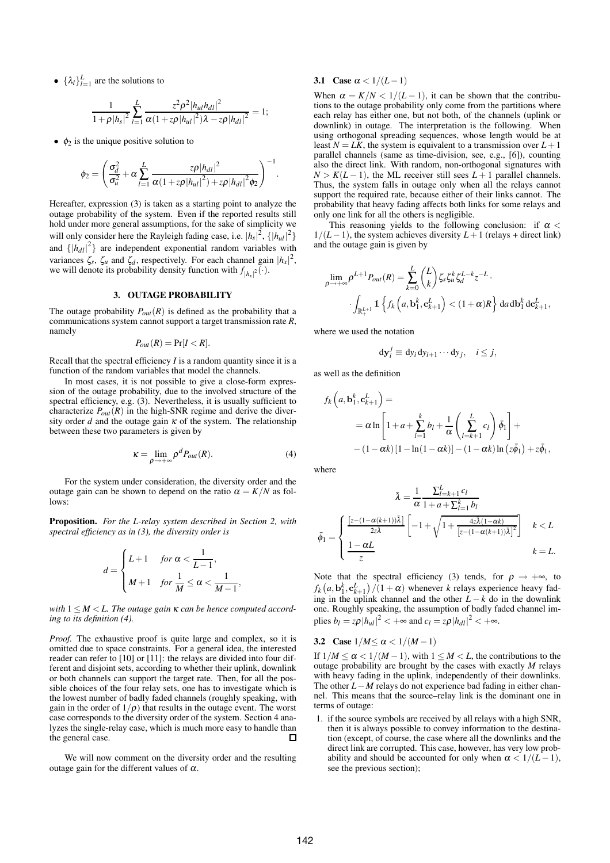•  $\{\lambda_l\}_{l=1}^L$  are the solutions to

$$
\frac{1}{1+\rho|h_s|^2}\sum_{l=1}^L\frac{z^2\rho^2|h_{ul}h_{dl}|^2}{\alpha(1+z\rho|h_{ul}|^2)\lambda-z\rho|h_{dl}|^2}=1;
$$

 $\bullet$   $\phi_2$  is the unique positive solution to

$$
\phi_2 = \left(\frac{\sigma_d^2}{\sigma_u^2} + \alpha \sum_{l=1}^{L} \frac{z\rho |h_{dl}|^2}{\alpha (1 + z\rho |h_{ul}|^2) + z\rho |h_{dl}|^2 \phi_2}\right)^{-1}.
$$

Hereafter, expression (3) is taken as a starting point to analyze the outage probability of the system. Even if the reported results still hold under more general assumptions, for the sake of simplicity we will only consider here the Rayleigh fading case, i.e.  $|h_s|^2$ ,  $\{|h_{ul}|^2\}$ and  $\{|h_{dl}|^2\}$  are independent exponential random variables with variances  $\zeta_s$ ,  $\zeta_u$  and  $\zeta_d$ , respectively. For each channel gain  $|h_x|^2$ , we will denote its probability density function with  $f_{\vert h_x\vert^2}(\cdot)$ .

#### **3. OUTAGE PROBABILITY**

The outage probability  $P_{out}(R)$  is defined as the probability that a communications system cannot support a target transmission rate *R*, namely

$$
P_{out}(R) = \Pr[I < R].
$$

Recall that the spectral efficiency *I* is a random quantity since it is a function of the random variables that model the channels.

In most cases, it is not possible to give a close-form expression of the outage probability, due to the involved structure of the spectral efficiency, e.g. (3). Nevertheless, it is usually sufficient to characterize  $P_{out}(R)$  in the high-SNR regime and derive the diversity order *d* and the outage gain  $\kappa$  of the system. The relationship between these two parameters is given by

$$
\kappa = \lim_{\rho \to +\infty} \rho^d P_{out}(R). \tag{4}
$$

For the system under consideration, the diversity order and the outage gain can be shown to depend on the ratio  $\alpha = K/N$  as follows:

**Proposition.** *For the L-relay system described in Section 2, with spectral efficiency as in (3), the diversity order is*

$$
d = \begin{cases} L+1 & \text{for } \alpha < \frac{1}{L-1}, \\ M+1 & \text{for } \frac{1}{M} \le \alpha < \frac{1}{M-1}, \end{cases}
$$

*with* 1 ≤ *M* < *L. The outage gain* <sup>κ</sup> *can be hence computed according to its definition (4).*

*Proof.* The exhaustive proof is quite large and complex, so it is omitted due to space constraints. For a general idea, the interested reader can refer to [10] or [11]: the relays are divided into four different and disjoint sets, according to whether their uplink, downlink or both channels can support the target rate. Then, for all the possible choices of the four relay sets, one has to investigate which is the lowest number of badly faded channels (roughly speaking, with gain in the order of  $1/\rho$ ) that results in the outage event. The worst case corresponds to the diversity order of the system. Section 4 analyzes the single-relay case, which is much more easy to handle than the general case.  $\Box$ 

We will now comment on the diversity order and the resulting outage gain for the different values of  $\alpha$ .

## **3.1** Case  $\alpha < 1/(L-1)$

When  $\alpha = K/N < 1/(L-1)$ , it can be shown that the contributions to the outage probability only come from the partitions where each relay has either one, but not both, of the channels (uplink or downlink) in outage. The interpretation is the following. When using orthogonal spreading sequences, whose length would be at least  $N = LK$ , the system is equivalent to a transmission over  $L + 1$ parallel channels (same as time-division, see, e.g., [6]), counting also the direct link. With random, non-orthogonal signatures with  $N > K(L-1)$ , the ML receiver still sees  $L+1$  parallel channels. Thus, the system falls in outage only when all the relays cannot support the required rate, because either of their links cannot. The probability that heavy fading affects both links for some relays and only one link for all the others is negligible.

This reasoning yields to the following conclusion: if  $\alpha$  <  $1/(L-1)$ , the system achieves diversity  $L+1$  (relays + direct link) and the outage gain is given by

$$
\lim_{\rho \to +\infty} \rho^{L+1} P_{out}(R) = \sum_{k=0}^{L} {L \choose k} \zeta_s \zeta_u^k \zeta_d^{L-k} z^{-L}.
$$

$$
\cdot \int_{\mathbb{R}^{L+1}_+} \mathbb{1} \left\{ f_k \left( a, \mathbf{b}_1^k, \mathbf{c}_{k+1}^L \right) < (1+\alpha)R \right\} \, \mathrm{d}a \, \mathrm{d}\mathbf{b}_1^k \, \mathrm{d}\mathbf{c}_{k+1}^L,
$$

where we used the notation

$$
\mathrm{d} \mathbf{y}_i^j \equiv \mathrm{d} y_i \, \mathrm{d} y_{i+1} \cdots \mathrm{d} y_j, \quad i \leq j,
$$

as well as the definition

$$
f_k\left(a, \mathbf{b}_1^k, \mathbf{c}_{k+1}^L\right) =
$$
  
=  $\alpha \ln \left[1 + a + \sum_{l=1}^k b_l + \frac{1}{\alpha} \left(\sum_{l=k+1}^L c_l\right) \bar{\phi}_1\right] +$   
–  $(1 - \alpha k) \left[1 - \ln(1 - \alpha k)\right] - (1 - \alpha k) \ln\left(z\bar{\phi}_1\right) + z\bar{\phi}_1,$ 

where

$$
\bar{\lambda} = \frac{1}{\alpha} \frac{\sum_{l=k+1}^{L} c_l}{1 + a + \sum_{l=1}^{k} b_l}
$$

$$
\bar{\phi}_1 = \begin{cases} \frac{\left[z - (1 - \alpha(k+1))\bar{\lambda}\right]}{2z\bar{\lambda}} \left[-1 + \sqrt{1 + \frac{4z\bar{\lambda}(1 - \alpha k)}{\left[z - (1 - \alpha(k+1))\bar{\lambda}\right]^2}}\right] & k < L\\ \frac{1 - \alpha L}{z} & k = L. \end{cases}
$$

Note that the spectral efficiency (3) tends, for  $\rho \rightarrow +\infty$ , to  $f_k(a, \mathbf{b}_1^k, \mathbf{c}_{k+1}^L) / (1 + \alpha)$  whenever *k* relays experience heavy fad- $\int_{k}^{k}$  (*u*, **b**<sub>1</sub>, **c**<sub>*k*+1</sub>//(1 + *u*) whenever *k* relays experience heavy rading in the uplink channel and the other *L* − *k* do in the downlink one. Roughly speaking, the assumption of badly faded channel implies  $b_l = z\rho |h_{ul}|^2 < +\infty$  and  $c_l = z\rho |h_{dl}|^2 < +\infty$ .

# **3.2** Case  $1/M \le \alpha < 1/(M-1)$

If  $1/M \le \alpha < 1/(M-1)$ , with  $1 \le M < L$ , the contributions to the outage probability are brought by the cases with exactly *M* relays with heavy fading in the uplink, independently of their downlinks. The other *L*−*M* relays do not experience bad fading in either channel. This means that the source–relay link is the dominant one in terms of outage:

1. if the source symbols are received by all relays with a high SNR, then it is always possible to convey information to the destination (except, of course, the case where all the downlinks and the direct link are corrupted. This case, however, has very low probability and should be accounted for only when  $\alpha < 1/(L-1)$ , see the previous section);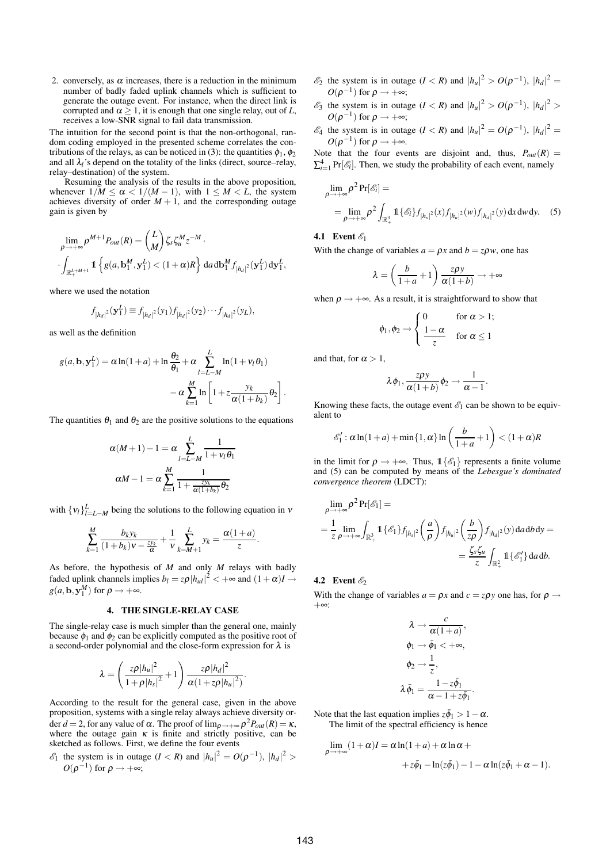2. conversely, as  $\alpha$  increases, there is a reduction in the minimum number of badly faded uplink channels which is sufficient to generate the outage event. For instance, when the direct link is corrupted and  $\alpha \geq 1$ , it is enough that one single relay, out of *L*, receives a low-SNR signal to fail data transmission.

The intuition for the second point is that the non-orthogonal, random coding employed in the presented scheme correlates the contributions of the relays, as can be noticed in (3): the quantities  $\phi_1$ ,  $\phi_2$ and all  $\lambda$ <sup>*l*</sup> s depend on the totality of the links (direct, source–relay, relay–destination) of the system.

Resuming the analysis of the results in the above proposition, whenever  $1/M \le \alpha < 1/(M-1)$ , with  $1 \le M < L$ , the system achieves diversity of order  $M + 1$ , and the corresponding outage gain is given by

$$
\lim_{\rho \to +\infty} \rho^{M+1} P_{out}(R) = \binom{L}{M} \zeta_s \zeta_u^M z^{-M}.
$$
\n
$$
\int_{\mathbb{R}^{L+M+1}_+} \mathbb{1} \left\{ g(a, \mathbf{b}_1^M, \mathbf{y}_1^L) < (1+\alpha)R \right\} \, \mathrm{d}a \, \mathrm{d}\mathbf{b}_1^M f_{|h_d|^2}(\mathbf{y}_1^L) \, \mathrm{d}\mathbf{y}_1^L,
$$

where we used the notation

$$
f_{|h_d|^2}(\mathbf{y}_1^L) \equiv f_{|h_d|^2}(y_1) f_{|h_d|^2}(y_2) \cdots f_{|h_d|^2}(y_L),
$$

as well as the definition

$$
g(a, \mathbf{b}, \mathbf{y}_1^L) = \alpha \ln(1+a) + \ln \frac{\theta_2}{\theta_1} + \alpha \sum_{l=L-M}^{L} \ln(1+v_l \theta_1)
$$

$$
-\alpha \sum_{k=1}^{M} \ln \left[1 + z \frac{y_k}{\alpha(1+b_k)} \theta_2\right].
$$

The quantities  $\theta_1$  and  $\theta_2$  are the positive solutions to the equations

$$
\alpha(M+1)-1 = \alpha \sum_{l=L-M}^{L} \frac{1}{1+v_l \theta_1}
$$

$$
\alpha M-1 = \alpha \sum_{k=1}^{M} \frac{1}{1+\frac{zy_k}{\alpha(1+b_k)}\theta_2}
$$

with  $\{v_l\}_{l=L-M}^L$  being the solutions to the following equation in  $v$ 

$$
\sum_{k=1}^M \frac{b_k y_k}{(1+b_k)v - \frac{z y_k}{\alpha}} + \frac{1}{v} \sum_{k=M+1}^L y_k = \frac{\alpha(1+a)}{z}.
$$

As before, the hypothesis of *M* and only *M* relays with badly faded uplink channels implies  $b_l = z\rho |h_{ul}|^2 < +\infty$  and  $(1 + \alpha)I \rightarrow$  $g(a, \mathbf{b}, \mathbf{y}_1^M)$  for  $\rho \to +\infty$ .

# **4. THE SINGLE-RELAY CASE**

The single-relay case is much simpler than the general one, mainly because  $\phi_1$  and  $\phi_2$  can be explicitly computed as the positive root of a second-order polynomial and the close-form expression for  $\lambda$  is

$$
\lambda = \left(\frac{z\rho|h_u|^2}{1+\rho|h_s|^2} + 1\right)\frac{z\rho|h_d|^2}{\alpha(1+z\rho|h_u|^2)}.
$$

According to the result for the general case, given in the above proposition, systems with a single relay always achieve diversity order *d* = 2, for any value of  $\alpha$ . The proof of  $\lim_{\rho \to +\infty} \rho^2 P_{out}(R) = \kappa$ , where the outage gain  $\kappa$  is finite and strictly positive, can be sketched as follows. First, we define the four events

 $\mathcal{E}_1$  the system is in outage  $(I < R)$  and  $|h_u|^2 = O(\rho^{-1}), |h_d|^2 >$  $O(\rho^{-1})$  for  $\rho \rightarrow +\infty$ ;

- $\mathscr{E}_2$  the system is in outage  $(I < R)$  and  $|h_u|^2 > O(\rho^{-1}), |h_d|^2 =$  $O(\rho^{-1})$  for  $\rho \rightarrow +\infty;$
- $\mathscr{E}_3$  the system is in outage  $(I < R)$  and  $|h_u|^2 > O(\rho^{-1}), |h_d|^2 >$  $O(\rho^{-1})$  for  $\rho \rightarrow +\infty;$
- $\mathscr{E}_4$  the system is in outage  $(I < R)$  and  $|h_u|^2 = O(\rho^{-1}), |h_d|^2 =$  $O(\rho^{-1})$  for  $\rho \to +\infty$ .

Note that the four events are disjoint and, thus,  $P_{out}(R)$  =  $\sum_{i=1}^{4} \Pr[\mathcal{E}_i]$ . Then, we study the probability of each event, namely

$$
\lim_{\rho \to +\infty} \rho^2 \Pr[\mathscr{E}_i] =
$$
\n
$$
= \lim_{\rho \to +\infty} \rho^2 \int_{\mathbb{R}^3_+} \mathbb{1}_{\{\mathscr{E}_i\}} f_{|h_s|^2}(x) f_{|h_u|^2}(w) f_{|h_d|^2}(y) dx dw dy. \quad (5)
$$

## **4.1** Event  $\mathscr{E}_1$

With the change of variables  $a = \rho x$  and  $b = z \rho w$ , one has

$$
\lambda = \left(\frac{b}{1+a} + 1\right) \frac{z\rho y}{\alpha(1+b)} \to +\infty
$$

when  $\rho \rightarrow +\infty$ . As a result, it is straightforward to show that

$$
\phi_1, \phi_2 \rightarrow \begin{cases} 0 & \text{for } \alpha > 1; \\ \frac{1-\alpha}{z} & \text{for } \alpha \leq 1 \end{cases}
$$

and that, for  $\alpha > 1$ ,

$$
\lambda \phi_1, \frac{z\rho y}{\alpha(1+b)} \phi_2 \to \frac{1}{\alpha-1}.
$$

Knowing these facts, the outage event  $\mathscr{E}_1$  can be shown to be equivalent to

$$
\mathscr{E}'_1: \alpha \ln(1+a) + \min\{1, \alpha\} \ln\left(\frac{b}{1+a} + 1\right) < (1+\alpha)R
$$

in the limit for  $\rho \rightarrow +\infty$ . Thus,  $\mathbb{1}\{\mathscr{E}_1\}$  represents a finite volume and (5) can be computed by means of the *Lebesgue's dominated convergence theorem* (LDCT):

$$
\lim_{\rho \to +\infty} \rho^2 \Pr[\mathscr{E}_1] =
$$
\n
$$
= \frac{1}{z} \lim_{\rho \to +\infty} \int_{\mathbb{R}^3_+} \mathbb{1} {\{\mathscr{E}_1\}} f_{|h_s|^2} \left(\frac{a}{\rho}\right) f_{|h_u|^2} \left(\frac{b}{z\rho}\right) f_{|h_d|^2}(y) \, \mathrm{d}a \, \mathrm{d}b \, \mathrm{d}y =
$$
\n
$$
= \frac{\zeta_s \zeta_u}{z} \int_{\mathbb{R}^2_+} \mathbb{1} {\{\mathscr{E}_1'\}} \, \mathrm{d}a \, \mathrm{d}b.
$$

# **4.2** Event  $\mathscr{E}_2$

With the change of variables  $a = \rho x$  and  $c = z\rho y$  one has, for  $\rho \rightarrow$ +∞:

$$
\lambda \to \frac{c}{\alpha(1+a)},
$$
  
\n
$$
\phi_1 \to \bar{\phi}_1 < +\infty,
$$
  
\n
$$
\phi_2 \to \frac{1}{z},
$$
  
\n
$$
\lambda \bar{\phi}_1 = \frac{1 - z\bar{\phi}_1}{\alpha - 1 + z\bar{\phi}_1}
$$

.

Note that the last equation implies  $z\bar{\phi}_1 > 1 - \alpha$ . The limit of the spectral efficiency is hence

$$
\lim_{\rho \to +\infty} (1 + \alpha)I = \alpha \ln(1 + a) + \alpha \ln \alpha ++ z\bar{\phi}_1 - \ln(z\bar{\phi}_1) - 1 - \alpha \ln(z\bar{\phi}_1 + \alpha - 1).
$$